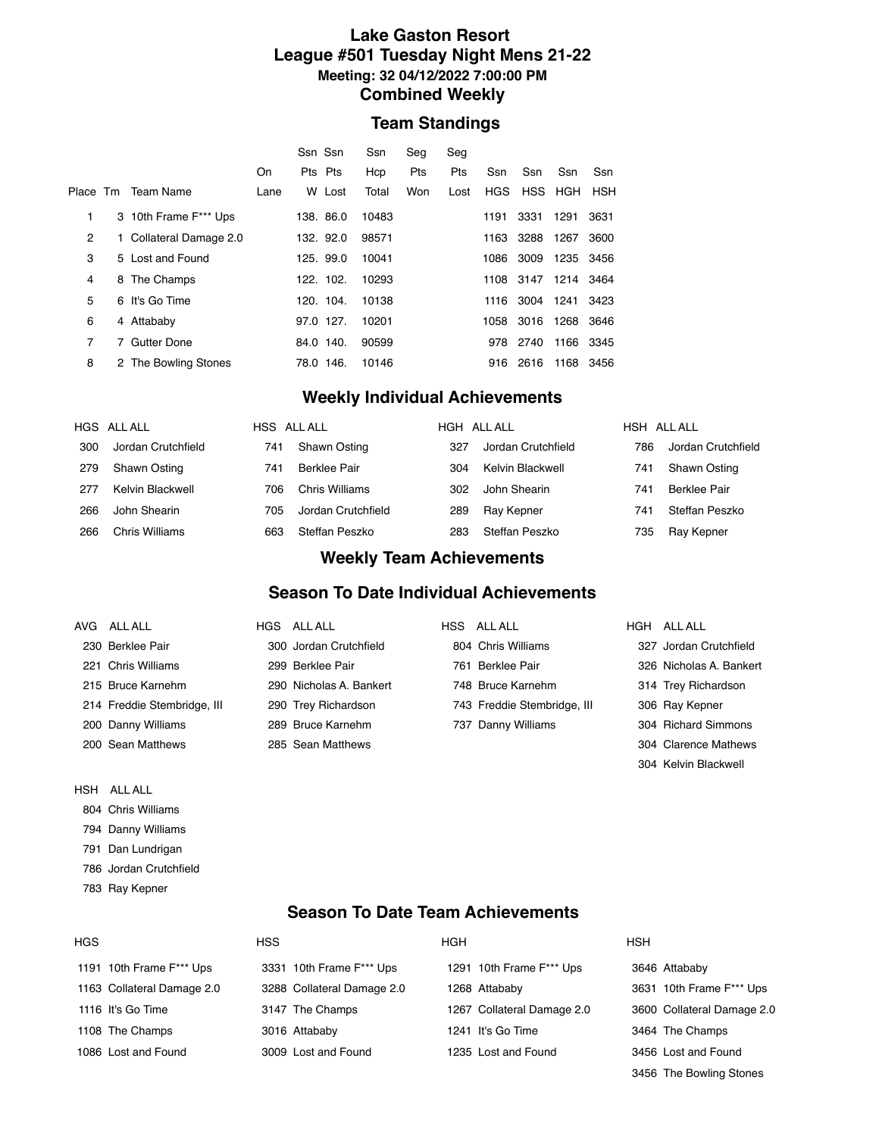#### **Lake Gaston Resort League #501 Tuesday Night Mens 21-22 Meeting: 32 04/12/2022 7:00:00 PM Combined Weekly**

#### **Team Standings**

|                |                         |      | Ssn Ssn   |           | Ssn   | Seq | Seq  |            |                     |           |      |
|----------------|-------------------------|------|-----------|-----------|-------|-----|------|------------|---------------------|-----------|------|
|                |                         | On   | Pts Pts   |           | Hcp   | Pts | Pts  | Ssn        | Ssn                 | Ssn       | Ssn  |
|                | Place Tm Team Name      | Lane |           | W Lost    | Total | Won | Lost | <b>HGS</b> | HSS HGH             |           | HSH  |
| 1              | 3 10th Frame F*** Ups   |      |           | 138. 86.0 | 10483 |     |      | 1191       | 3331                | 1291      | 3631 |
| 2              | 1 Collateral Damage 2.0 |      |           | 132. 92.0 | 98571 |     |      |            | 1163 3288           | 1267      | 3600 |
| 3              | 5 Lost and Found        |      |           | 125. 99.0 | 10041 |     |      |            | 1086 3009           | 1235 3456 |      |
| 4              | 8 The Champs            |      |           | 122. 102. | 10293 |     |      |            | 1108 3147 1214 3464 |           |      |
| 5              | 6 It's Go Time          |      |           | 120. 104. | 10138 |     |      |            | 1116 3004 1241 3423 |           |      |
| 6              | 4 Attababy              |      |           | 97.0 127. | 10201 |     |      |            | 1058 3016 1268 3646 |           |      |
| $\overline{7}$ | 7 Gutter Done           |      | 84.0 140. |           | 90599 |     |      | 978        | 2740                | 1166 3345 |      |
| 8              | 2 The Bowling Stones    |      | 78.0 146. |           | 10146 |     |      |            | 916 2616            | 1168      | 3456 |
|                |                         |      |           |           |       |     |      |            |                     |           |      |

## **Weekly Individual Achievements**

|     | HGS ALLALL         | HSS ALL ALL |                    | HGH ALL ALL |                    | HSH ALL ALL |                     |  |
|-----|--------------------|-------------|--------------------|-------------|--------------------|-------------|---------------------|--|
| 300 | Jordan Crutchfield | 741         | Shawn Osting       | 327         | Jordan Crutchfield | 786         | Jordan Crutchfield  |  |
| 279 | Shawn Osting       | 741         | Berklee Pair       | 304         | Kelvin Blackwell   | 741         | Shawn Osting        |  |
| 277 | Kelvin Blackwell   | 706         | Chris Williams     | 302         | John Shearin       | 741         | <b>Berklee Pair</b> |  |
| 266 | John Shearin       | 705         | Jordan Crutchfield | 289         | Ray Kepner         | 741         | Steffan Peszko      |  |
| 266 | Chris Williams     | 663         | Steffan Peszko     | 283         | Steffan Peszko     | 735         | Ray Kepner          |  |

#### **Weekly Team Achievements**

#### **Season To Date Individual Achievements**

| AVG ALLALL                  | HGS ALLALL              | HSS ALL ALL                 | HGH ALL ALL             |
|-----------------------------|-------------------------|-----------------------------|-------------------------|
| 230 Berklee Pair            | 300 Jordan Crutchfield  | 804 Chris Williams          | 327 Jordan Crutchfield  |
| 221 Chris Williams          | 299 Berklee Pair        | 761 Berklee Pair            | 326 Nicholas A. Bankert |
| 215 Bruce Karnehm           | 290 Nicholas A. Bankert | 748 Bruce Karnehm           | 314 Trey Richardson     |
| 214 Freddie Stembridge, III | 290 Trey Richardson     | 743 Freddie Stembridge, III | 306 Ray Kepner          |
| 200 Danny Williams          | 289 Bruce Karnehm       | 737 Danny Williams          | 304 Richard Simmons     |
| 200 Sean Matthews           | 285 Sean Matthews       |                             | 304 Clarence Mathews    |
|                             |                         |                             | 304 Kelvin Blackwell    |

- HSH ALL ALL
- Chris Williams
- Danny Williams
- Dan Lundrigan
- Jordan Crutchfield
- Ray Kepner

### **Season To Date Team Achievements**

| <b>HGS</b>                 | <b>HSS</b>                 | <b>HGH</b>                 | <b>HSH</b>                 |
|----------------------------|----------------------------|----------------------------|----------------------------|
| 1191 10th Frame F*** Ups   | 3331 10th Frame F*** Ups   | 1291 10th Frame F*** Ups   | 3646 Attababy              |
| 1163 Collateral Damage 2.0 | 3288 Collateral Damage 2.0 | 1268 Attababy              | 3631 10th Frame F*** Ups   |
| 1116 It's Go Time          | 3147 The Champs            | 1267 Collateral Damage 2.0 | 3600 Collateral Damage 2.0 |
| 1108 The Champs            | 3016 Attababy              | 1241 It's Go Time          | 3464 The Champs            |
| 1086 Lost and Found        | 3009 Lost and Found        | 1235 Lost and Found        | 3456 Lost and Found        |

The Bowling Stones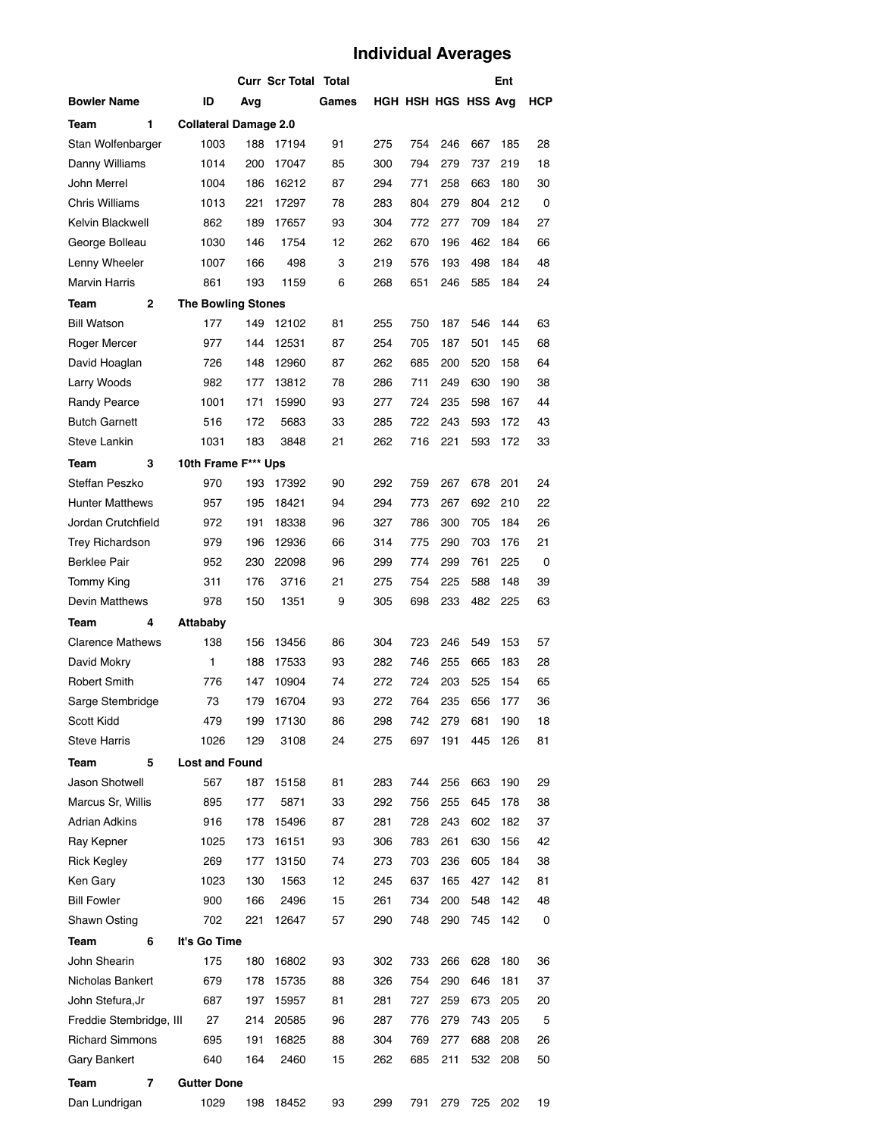# **Individual Averages**

|                         |                              |     | <b>Curr Scr Total Total</b> |       |     |     |                     |     | Ent |     |
|-------------------------|------------------------------|-----|-----------------------------|-------|-----|-----|---------------------|-----|-----|-----|
| <b>Bowler Name</b>      | ID                           | Avq |                             | Games |     |     | HGH HSH HGS HSS Avg |     |     | НСР |
| 1<br>Team               | <b>Collateral Damage 2.0</b> |     |                             |       |     |     |                     |     |     |     |
| Stan Wolfenbarger       | 1003                         | 188 | 17194                       | 91    | 275 | 754 | 246                 | 667 | 185 | 28  |
| Danny Williams          | 1014                         | 200 | 17047                       | 85    | 300 | 794 | 279                 | 737 | 219 | 18  |
| John Merrel             | 1004                         | 186 | 16212                       | 87    | 294 | 771 | 258                 | 663 | 180 | 30  |
| <b>Chris Williams</b>   | 1013                         | 221 | 17297                       | 78    | 283 | 804 | 279                 | 804 | 212 | 0   |
| Kelvin Blackwell        | 862                          | 189 | 17657                       | 93    | 304 | 772 | 277                 | 709 | 184 | 27  |
| George Bolleau          | 1030                         | 146 | 1754                        | 12    | 262 | 670 | 196                 | 462 | 184 | 66  |
| Lenny Wheeler           | 1007                         | 166 | 498                         | 3     | 219 | 576 | 193                 | 498 | 184 | 48  |
| <b>Marvin Harris</b>    | 861                          | 193 | 1159                        | 6     | 268 | 651 | 246                 | 585 | 184 | 24  |
| 2<br>Team               | <b>The Bowling Stones</b>    |     |                             |       |     |     |                     |     |     |     |
| <b>Bill Watson</b>      | 177                          | 149 | 12102                       | 81    | 255 | 750 | 187                 | 546 | 144 | 63  |
| Roger Mercer            | 977                          | 144 | 12531                       | 87    | 254 | 705 | 187                 | 501 | 145 | 68  |
| David Hoaglan           | 726                          | 148 | 12960                       | 87    | 262 | 685 | 200                 | 520 | 158 | 64  |
| Larry Woods             | 982                          | 177 | 13812                       | 78    | 286 | 711 | 249                 | 630 | 190 | 38  |
| <b>Randy Pearce</b>     | 1001                         | 171 | 15990                       | 93    | 277 | 724 | 235                 | 598 | 167 | 44  |
| <b>Butch Garnett</b>    | 516                          | 172 | 5683                        | 33    | 285 | 722 | 243                 | 593 | 172 | 43  |
| Steve Lankin            | 1031                         | 183 | 3848                        | 21    | 262 | 716 | 221                 | 593 | 172 | 33  |
| 3<br>Team               | 10th Frame F*** Ups          |     |                             |       |     |     |                     |     |     |     |
| Steffan Peszko          | 970                          | 193 | 17392                       | 90    | 292 | 759 | 267                 | 678 | 201 | 24  |
| <b>Hunter Matthews</b>  | 957                          | 195 | 18421                       | 94    | 294 | 773 | 267                 | 692 | 210 | 22  |
| Jordan Crutchfield      | 972                          | 191 | 18338                       | 96    | 327 | 786 | 300                 | 705 | 184 | 26  |
| Trey Richardson         | 979                          | 196 | 12936                       | 66    | 314 | 775 | 290                 | 703 | 176 | 21  |
| <b>Berklee Pair</b>     | 952                          | 230 | 22098                       | 96    | 299 | 774 | 299                 | 761 | 225 | 0   |
| <b>Tommy King</b>       | 311                          | 176 | 3716                        | 21    | 275 | 754 | 225                 | 588 | 148 | 39  |
| Devin Matthews          | 978                          | 150 | 1351                        | 9     | 305 | 698 | 233                 | 482 | 225 | 63  |
| Team<br>4               | Attababy                     |     |                             |       |     |     |                     |     |     |     |
| <b>Clarence Mathews</b> | 138                          | 156 | 13456                       | 86    | 304 | 723 | 246                 | 549 | 153 | 57  |
| David Mokry             | 1                            | 188 | 17533                       | 93    | 282 | 746 | 255                 | 665 | 183 | 28  |
| <b>Robert Smith</b>     | 776                          | 147 | 10904                       | 74    | 272 | 724 | 203                 | 525 | 154 | 65  |
| Sarge Stembridge        | 73                           | 179 | 16704                       | 93    | 272 | 764 | 235                 | 656 | 177 | 36  |
| Scott Kidd              | 479                          | 199 | 17130                       | 86    | 298 | 742 | 279                 | 681 | 190 | 18  |
| <b>Steve Harris</b>     | 1026                         | 129 | 3108                        | 24    | 275 | 697 | 191                 | 445 | 126 | 81  |
| Team<br>5               | <b>Lost and Found</b>        |     |                             |       |     |     |                     |     |     |     |
| Jason Shotwell          | 567                          | 187 | 15158                       | 81    | 283 | 744 | 256                 | 663 | 190 | 29  |
| Marcus Sr, Willis       | 895                          | 177 | 5871                        | 33    | 292 | 756 | 255                 | 645 | 178 | 38  |
| Adrian Adkins           | 916                          | 178 | 15496                       | 87    | 281 | 728 | 243                 | 602 | 182 | 37  |
| Ray Kepner              | 1025                         | 173 | 16151                       | 93    | 306 | 783 | 261                 | 630 | 156 | 42  |
| <b>Rick Kegley</b>      | 269                          | 177 | 13150                       | 74    | 273 | 703 | 236                 | 605 | 184 | 38  |
| Ken Gary                | 1023                         | 130 | 1563                        | 12    | 245 | 637 | 165                 | 427 | 142 | 81  |
| <b>Bill Fowler</b>      | 900                          | 166 | 2496                        | 15    | 261 | 734 | 200                 | 548 | 142 | 48  |
| Shawn Osting            | 702                          | 221 | 12647                       | 57    | 290 | 748 | 290                 | 745 | 142 | 0   |
| 6<br>Team               | It's Go Time                 |     |                             |       |     |     |                     |     |     |     |
| John Shearin            | 175                          | 180 | 16802                       | 93    | 302 | 733 | 266                 | 628 | 180 | 36  |
| Nicholas Bankert        | 679                          | 178 | 15735                       | 88    | 326 | 754 | 290                 | 646 | 181 | 37  |
| John Stefura,Jr         | 687                          | 197 | 15957                       | 81    | 281 | 727 | 259                 | 673 | 205 | 20  |
| Freddie Stembridge, III | 27                           | 214 | 20585                       | 96    | 287 | 776 | 279                 | 743 | 205 | 5   |
| <b>Richard Simmons</b>  | 695                          | 191 | 16825                       | 88    | 304 | 769 | 277                 | 688 | 208 | 26  |
| <b>Gary Bankert</b>     | 640                          | 164 | 2460                        | 15    | 262 | 685 | 211                 | 532 | 208 | 50  |
| Team<br>7               | <b>Gutter Done</b>           |     |                             |       |     |     |                     |     |     |     |
| Dan Lundrigan           | 1029                         | 198 | 18452                       | 93    | 299 | 791 | 279                 | 725 | 202 | 19  |